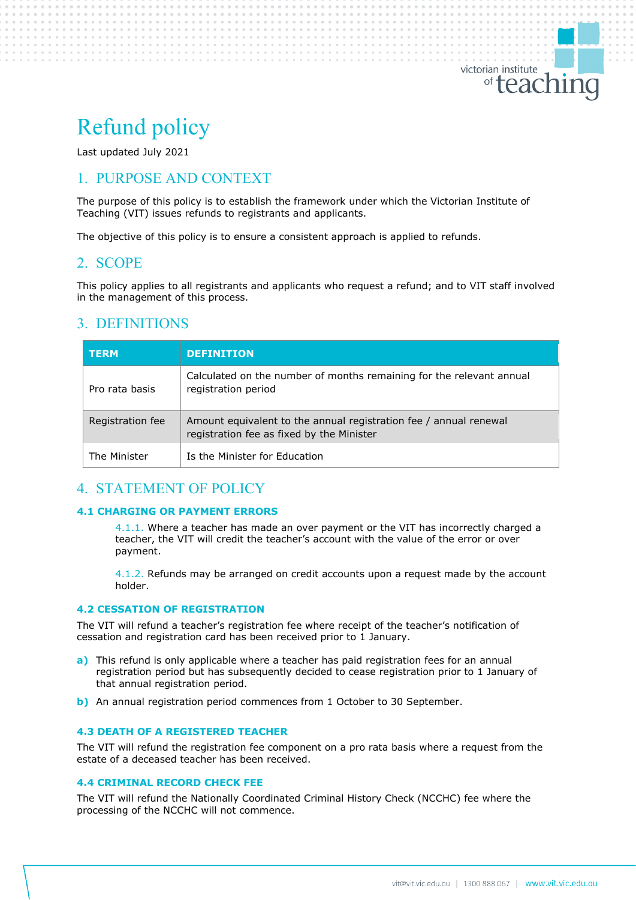# Refund policy

Last updated July 2021

# 1. PURPOSE AND CONTEXT

The purpose of this policy is to establish the framework under which the Victorian Institute of Teaching (VIT) issues refunds to registrants and applicants.

The objective of this policy is to ensure a consistent approach is applied to refunds.

## 2. SCOPE

This policy applies to all registrants and applicants who request a refund; and to VIT staff involved in the management of this process.

## 3. DEFINITIONS

| <b>TERM</b>      | <b>DEFINITION</b>                                                                                              |
|------------------|----------------------------------------------------------------------------------------------------------------|
| Pro rata basis   | Calculated on the number of months remaining for the relevant annual<br>registration period                    |
| Registration fee | Amount equivalent to the annual registration fee / annual renewal<br>registration fee as fixed by the Minister |
| The Minister     | Is the Minister for Education                                                                                  |

## 4. STATEMENT OF POLICY

#### **4.1 CHARGING OR PAYMENT ERRORS**

4.1.1. Where a teacher has made an over payment or the VIT has incorrectly charged a teacher, the VIT will credit the teacher's account with the value of the error or over payment.

4.1.2. Refunds may be arranged on credit accounts upon a request made by the account holder.

#### **4.2 CESSATION OF REGISTRATION**

The VIT will refund a teacher's registration fee where receipt of the teacher's notification of cessation and registration card has been received prior to 1 January.

- **a)** This refund is only applicable where a teacher has paid registration fees for an annual registration period but has subsequently decided to cease registration prior to 1 January of that annual registration period.
- **b)** An annual registration period commences from 1 October to 30 September.

#### **4.3 DEATH OF A REGISTERED TEACHER**

The VIT will refund the registration fee component on a pro rata basis where a request from the estate of a deceased teacher has been received.

#### **4.4 CRIMINAL RECORD CHECK FEE**

The VIT will refund the Nationally Coordinated Criminal History Check (NCCHC) fee where the processing of the NCCHC will not commence.

victorian institute

<sup>of</sup>teaching